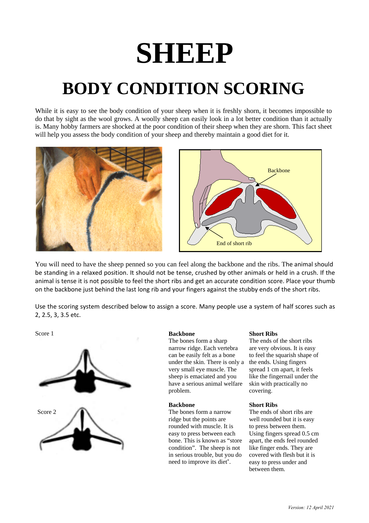# **SHEEP**

## **BODY CONDITION SCORING**

While it is easy to see the body condition of your sheep when it is freshly shorn, it becomes impossible to do that by sight as the wool grows. A woolly sheep can easily look in a lot better condition than it actually is. Many hobby farmers are shocked at the poor condition of their sheep when they are shorn. This fact sheet will help you assess the body condition of your sheep and thereby maintain a good diet for it.





You will need to have the sheep penned so you can feel along the backbone and the ribs. The animal should be standing in a relaxed position. It should not be tense, crushed by other animals or held in a crush. If the animal is tense it is not possible to feel the short ribs and get an accurate condition score. Place your thumb on the backbone just behind the last long rib and your fingers against the stubby ends of the short ribs.

Use the scoring system described below to assign a score. Many people use a system of half scores such as 2, 2.5, 3, 3.5 etc.



#### Score 1 **Backbone**

The bones form a sharp narrow ridge. Each vertebra can be easily felt as a bone under the skin. There is only a very small eye muscle. The sheep is emaciated and you have a serious animal welfare problem.

#### **Backbone**

The bones form a narrow ridge but the points are rounded with muscle. It is easy to press between each bone. This is known as "store condition". The sheep is not in serious trouble, but you do need to improve its diet\* .

#### **Short Ribs**

The ends of the short ribs are very obvious. It is easy to feel the squarish shape of the ends. Using fingers spread 1 cm apart, it feels like the fingernail under the skin with practically no covering.

#### **Short Ribs**

The ends of short ribs are well rounded but it is easy to press between them. Using fingers spread 0.5 cm apart, the ends feel rounded like finger ends. They are covered with flesh but it is easy to press under and between them.